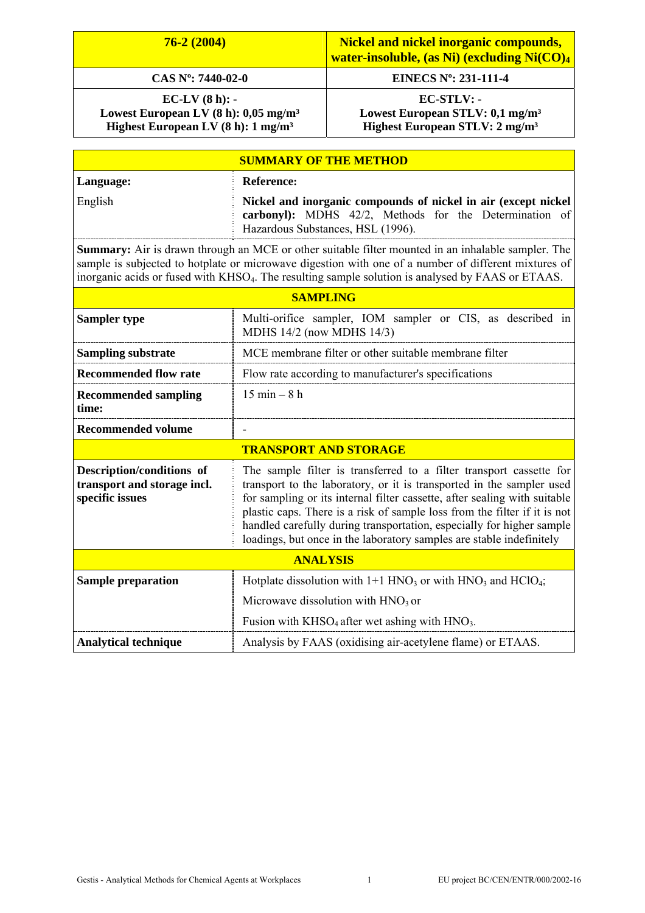| $76-2(2004)$                                                                                                                                                                                                                                                                                                                |                                                                                                                                                                                                                                                                                                                                                                                                                                                         | <b>Nickel and nickel inorganic compounds,</b><br>water-insoluble, (as $Ni$ ) (excluding $Ni(CO)4$       |  |  |
|-----------------------------------------------------------------------------------------------------------------------------------------------------------------------------------------------------------------------------------------------------------------------------------------------------------------------------|---------------------------------------------------------------------------------------------------------------------------------------------------------------------------------------------------------------------------------------------------------------------------------------------------------------------------------------------------------------------------------------------------------------------------------------------------------|---------------------------------------------------------------------------------------------------------|--|--|
| CAS Nº: 7440-02-0                                                                                                                                                                                                                                                                                                           |                                                                                                                                                                                                                                                                                                                                                                                                                                                         | EINECS N°: 231-111-4                                                                                    |  |  |
| $EC-LV(8 h): -$<br>Lowest European LV $(8 h)$ : 0,05 mg/m <sup>3</sup><br>Highest European LV $(8 h)$ : 1 mg/m <sup>3</sup>                                                                                                                                                                                                 |                                                                                                                                                                                                                                                                                                                                                                                                                                                         | EC-STLV: -<br>Lowest European STLV: 0,1 mg/m <sup>3</sup><br>Highest European STLV: 2 mg/m <sup>3</sup> |  |  |
| <b>SUMMARY OF THE METHOD</b>                                                                                                                                                                                                                                                                                                |                                                                                                                                                                                                                                                                                                                                                                                                                                                         |                                                                                                         |  |  |
| Language:                                                                                                                                                                                                                                                                                                                   | <b>Reference:</b>                                                                                                                                                                                                                                                                                                                                                                                                                                       |                                                                                                         |  |  |
| English                                                                                                                                                                                                                                                                                                                     | Nickel and inorganic compounds of nickel in air (except nickel<br>carbonyl): MDHS 42/2, Methods for the Determination of<br>Hazardous Substances, HSL (1996).                                                                                                                                                                                                                                                                                           |                                                                                                         |  |  |
| Summary: Air is drawn through an MCE or other suitable filter mounted in an inhalable sampler. The<br>sample is subjected to hotplate or microwave digestion with one of a number of different mixtures of<br>inorganic acids or fused with KHSO <sub>4</sub> . The resulting sample solution is analysed by FAAS or ETAAS. |                                                                                                                                                                                                                                                                                                                                                                                                                                                         |                                                                                                         |  |  |
| <b>SAMPLING</b>                                                                                                                                                                                                                                                                                                             |                                                                                                                                                                                                                                                                                                                                                                                                                                                         |                                                                                                         |  |  |
| <b>Sampler type</b>                                                                                                                                                                                                                                                                                                         | Multi-orifice sampler, IOM sampler or CIS, as described in<br>MDHS 14/2 (now MDHS 14/3)                                                                                                                                                                                                                                                                                                                                                                 |                                                                                                         |  |  |
| <b>Sampling substrate</b>                                                                                                                                                                                                                                                                                                   |                                                                                                                                                                                                                                                                                                                                                                                                                                                         | MCE membrane filter or other suitable membrane filter                                                   |  |  |
| <b>Recommended flow rate</b>                                                                                                                                                                                                                                                                                                |                                                                                                                                                                                                                                                                                                                                                                                                                                                         | Flow rate according to manufacturer's specifications                                                    |  |  |
| <b>Recommended sampling</b><br>time:                                                                                                                                                                                                                                                                                        | $15 \text{ min} - 8 \text{ h}$                                                                                                                                                                                                                                                                                                                                                                                                                          |                                                                                                         |  |  |
| <b>Recommended volume</b>                                                                                                                                                                                                                                                                                                   |                                                                                                                                                                                                                                                                                                                                                                                                                                                         |                                                                                                         |  |  |
| <b>TRANSPORT AND STORAGE</b>                                                                                                                                                                                                                                                                                                |                                                                                                                                                                                                                                                                                                                                                                                                                                                         |                                                                                                         |  |  |
| Description/conditions of<br>transport and storage incl.<br>specific issues                                                                                                                                                                                                                                                 | The sample filter is transferred to a filter transport cassette for<br>transport to the laboratory, or it is transported in the sampler used<br>for sampling or its internal filter cassette, after sealing with suitable<br>plastic caps. There is a risk of sample loss from the filter if it is not<br>handled carefully during transportation, especially for higher sample<br>loadings, but once in the laboratory samples are stable indefinitely |                                                                                                         |  |  |
| <b>ANALYSIS</b>                                                                                                                                                                                                                                                                                                             |                                                                                                                                                                                                                                                                                                                                                                                                                                                         |                                                                                                         |  |  |
| <b>Sample preparation</b>                                                                                                                                                                                                                                                                                                   |                                                                                                                                                                                                                                                                                                                                                                                                                                                         | Hotplate dissolution with $1+1$ HNO <sub>3</sub> or with HNO <sub>3</sub> and HClO <sub>4</sub> ;       |  |  |
|                                                                                                                                                                                                                                                                                                                             |                                                                                                                                                                                                                                                                                                                                                                                                                                                         | Microwave dissolution with $HNO3$ or                                                                    |  |  |
|                                                                                                                                                                                                                                                                                                                             |                                                                                                                                                                                                                                                                                                                                                                                                                                                         | Fusion with $KHSO4$ after wet ashing with $HNO3$ .                                                      |  |  |
| <b>Analytical technique</b>                                                                                                                                                                                                                                                                                                 |                                                                                                                                                                                                                                                                                                                                                                                                                                                         | Analysis by FAAS (oxidising air-acetylene flame) or ETAAS.                                              |  |  |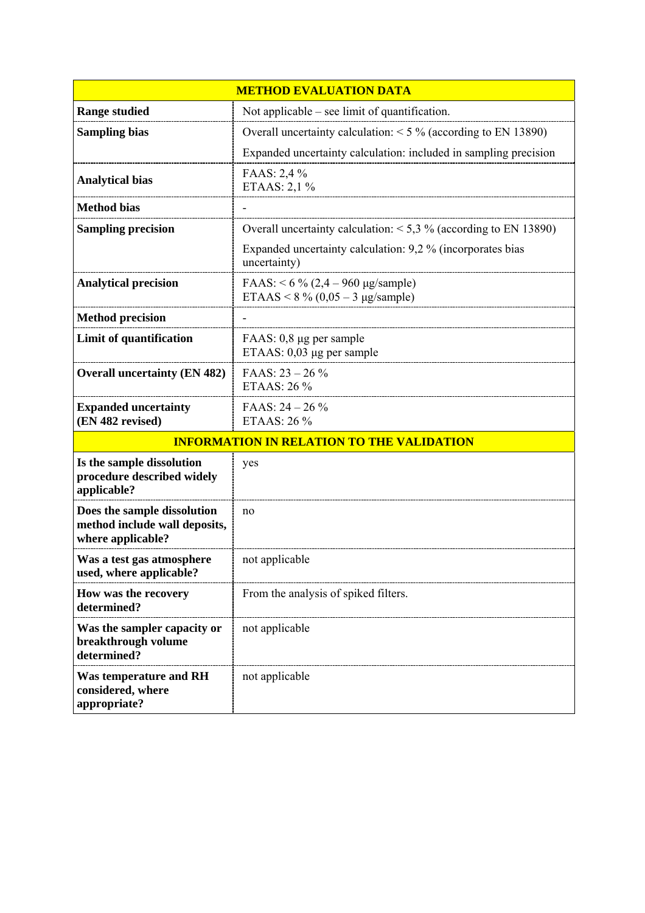| <b>METHOD EVALUATION DATA</b>                                                     |                                                                                    |  |
|-----------------------------------------------------------------------------------|------------------------------------------------------------------------------------|--|
| <b>Range studied</b>                                                              | Not applicable $-$ see limit of quantification.                                    |  |
| <b>Sampling bias</b>                                                              | Overall uncertainty calculation: $<$ 5 % (according to EN 13890)                   |  |
|                                                                                   | Expanded uncertainty calculation: included in sampling precision                   |  |
| <b>Analytical bias</b>                                                            | FAAS: 2,4 %<br>ETAAS: 2,1 %                                                        |  |
| <b>Method bias</b>                                                                |                                                                                    |  |
| <b>Sampling precision</b>                                                         | Overall uncertainty calculation: $<$ 5,3 % (according to EN 13890)                 |  |
|                                                                                   | Expanded uncertainty calculation: 9,2 % (incorporates bias<br>uncertainty)         |  |
| <b>Analytical precision</b>                                                       | FAAS: $< 6 \% (2,4 - 960 \text{ µg/sample})$<br>ETAAS < $8\%$ (0,05 – 3 µg/sample) |  |
| <b>Method precision</b>                                                           |                                                                                    |  |
| Limit of quantification                                                           | FAAS: 0,8 µg per sample<br>ETAAS: $0,03 \mu$ g per sample                          |  |
| <b>Overall uncertainty (EN 482)</b>                                               | FAAS: $23 - 26\%$<br>ETAAS: 26 %                                                   |  |
| <b>Expanded uncertainty</b><br>(EN 482 revised)                                   | FAAS: $24 - 26\%$<br>ETAAS: 26 %                                                   |  |
| <b>INFORMATION IN RELATION TO THE VALIDATION</b>                                  |                                                                                    |  |
| Is the sample dissolution<br>procedure described widely<br>applicable?            | yes                                                                                |  |
| Does the sample dissolution<br>method include wall deposits,<br>where applicable? | no                                                                                 |  |
| Was a test gas atmosphere<br>used, where applicable?                              | not applicable                                                                     |  |
| How was the recovery<br>determined?                                               | From the analysis of spiked filters.                                               |  |
| Was the sampler capacity or<br>breakthrough volume<br>determined?                 | not applicable                                                                     |  |
| <b>Was temperature and RH</b><br>considered, where<br>appropriate?                | not applicable                                                                     |  |